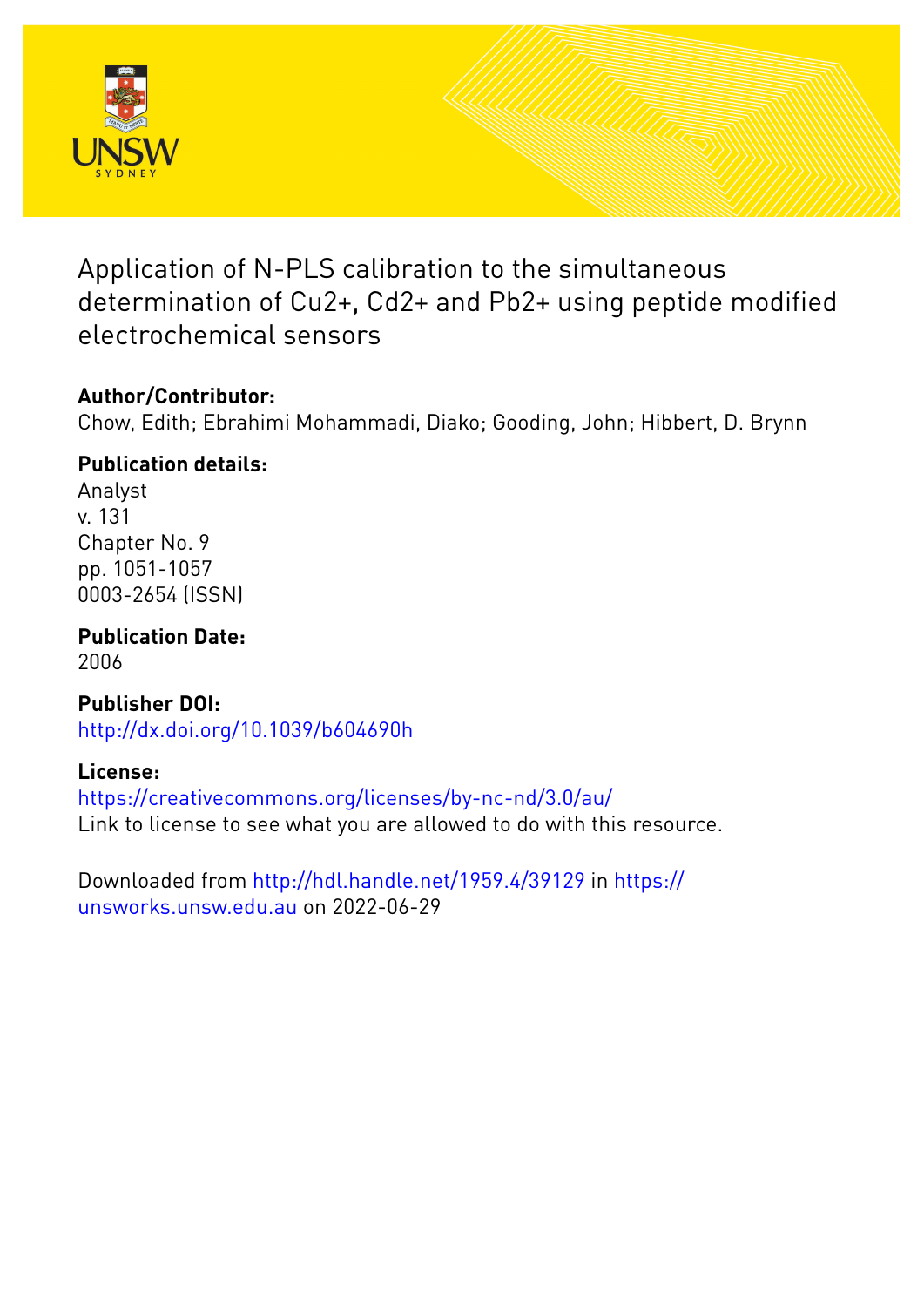

Application of N-PLS calibration to the simultaneous determination of Cu2+, Cd2+ and Pb2+ using peptide modified electrochemical sensors

# **Author/Contributor:**

Chow, Edith; Ebrahimi Mohammadi, Diako; Gooding, John; Hibbert, D. Brynn

# **Publication details:**

Analyst v. 131 Chapter No. 9 pp. 1051-1057 0003-2654 (ISSN)

**Publication Date:** 2006

**Publisher DOI:** [http://dx.doi.org/10.1039/b604690h](http://dx.doi.org/http://dx.doi.org/10.1039/b604690h)

# **License:**

<https://creativecommons.org/licenses/by-nc-nd/3.0/au/> Link to license to see what you are allowed to do with this resource.

Downloaded from <http://hdl.handle.net/1959.4/39129> in [https://](https://unsworks.unsw.edu.au) [unsworks.unsw.edu.au](https://unsworks.unsw.edu.au) on 2022-06-29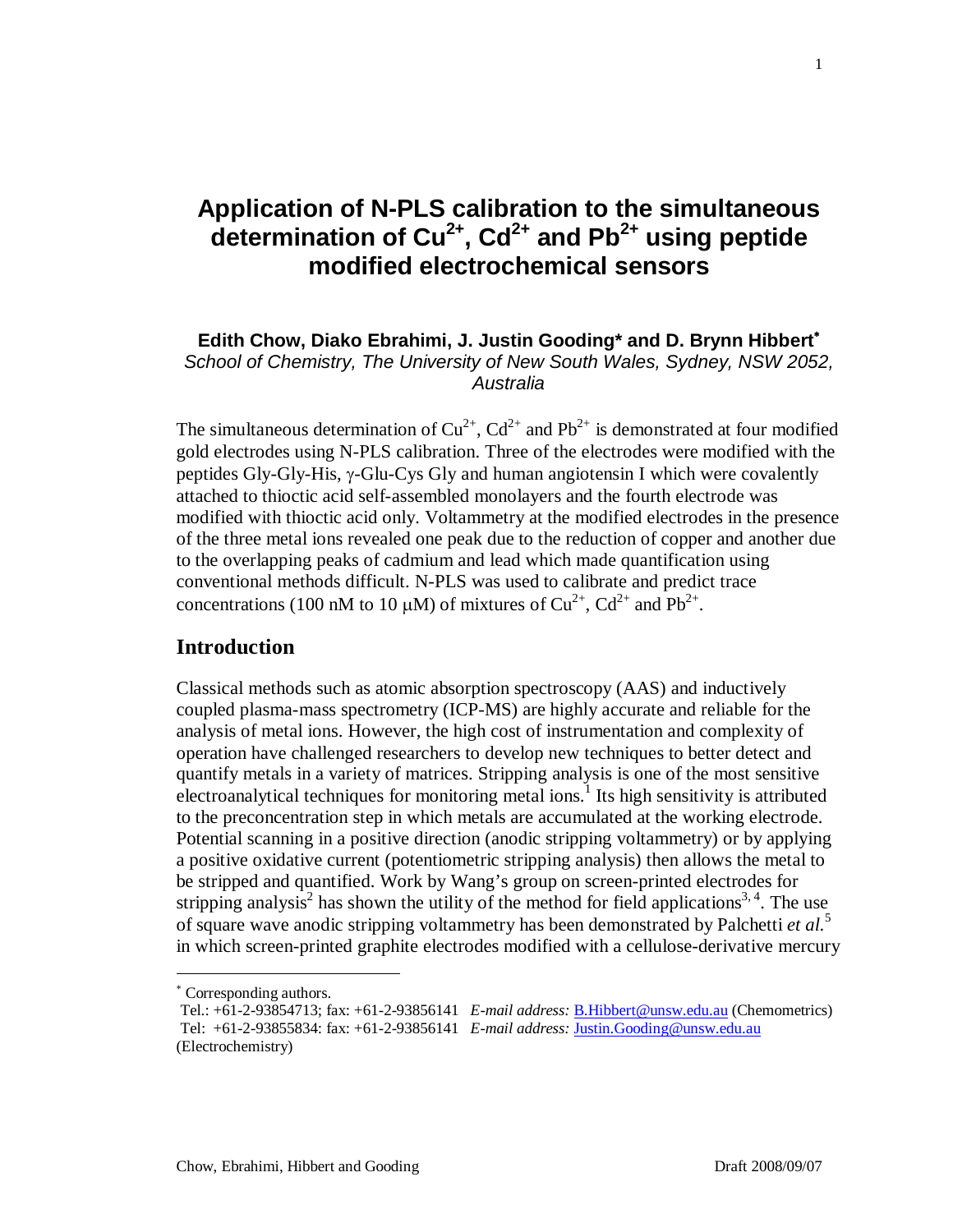# **Application of N-PLS calibration to the simultaneous determination of Cu2+, Cd2+ and Pb2+ using peptide modified electrochemical sensors**

## **Edith Chow, Diako Ebrahimi, J. Justin Gooding\* and D. Brynn Hibbert**<sup>∗</sup> *School of Chemistry, The University of New South Wales, Sydney, NSW 2052, Australia*

The simultaneous determination of  $Cu^{2+}$ ,  $Cd^{2+}$  and  $Pb^{2+}$  is demonstrated at four modified gold electrodes using N-PLS calibration. Three of the electrodes were modified with the peptides Gly-Gly-His, γ-Glu-Cys Gly and human angiotensin I which were covalently attached to thioctic acid self-assembled monolayers and the fourth electrode was modified with thioctic acid only. Voltammetry at the modified electrodes in the presence of the three metal ions revealed one peak due to the reduction of copper and another due to the overlapping peaks of cadmium and lead which made quantification using conventional methods difficult. N-PLS was used to calibrate and predict trace concentrations (100 nM to 10  $\mu$ M) of mixtures of Cu<sup>2+</sup>, Cd<sup>2+</sup> and Pb<sup>2+</sup>.

## **Introduction**

Classical methods such as atomic absorption spectroscopy (AAS) and inductively coupled plasma-mass spectrometry (ICP-MS) are highly accurate and reliable for the analysis of metal ions. However, the high cost of instrumentation and complexity of operation have challenged researchers to develop new techniques to better detect and quantify metals in a variety of matrices. Stripping analysis is one of the most sensitive electroanalytical techniques for monitoring metal ions.<sup>1</sup> Its high sensitivity is attributed to the preconcentration step in which metals are accumulated at the working electrode. Potential scanning in a positive direction (anodic stripping voltammetry) or by applying a positive oxidative current (potentiometric stripping analysis) then allows the metal to be stripped and quantified. Work by Wang's group on screen-printed electrodes for stripping analysis<sup>2</sup> has shown the utility of the method for field applications<sup>3, 4</sup>. The use of square wave anodic stripping voltammetry has been demonstrated by Palchetti *et al.*<sup>5</sup> in which screen-printed graphite electrodes modified with a cellulose-derivative mercury

 $\overline{a}$ 

1

<sup>∗</sup> Corresponding authors.

Tel.: +61-2-93854713; fax: +61-2-93856141 *E-mail address:* [B.Hibbert@unsw.edu.au](mailto:B.Hibbert@unsw.edu.au) (Chemometrics) Tel: +61-2-93855834: fax: +61-2-93856141 *E-mail address:* [Justin.Gooding@unsw.edu.au](mailto:Justin.Gooding@unsw.edu.au) (Electrochemistry)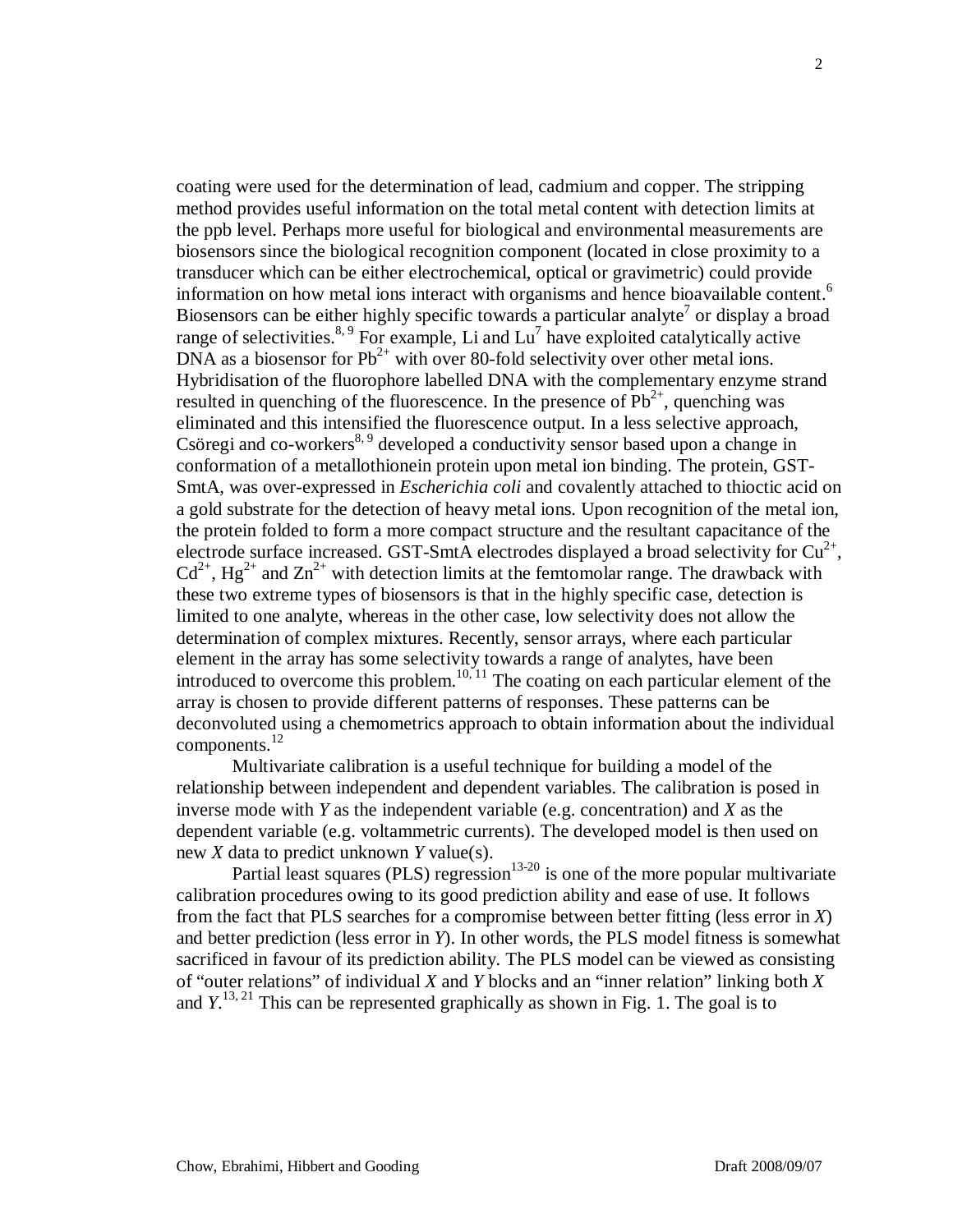coating were used for the determination of lead, cadmium and copper. The stripping method provides useful information on the total metal content with detection limits at the ppb level. Perhaps more useful for biological and environmental measurements are biosensors since the biological recognition component (located in close proximity to a transducer which can be either electrochemical, optical or gravimetric) could provide information on how metal ions interact with organisms and hence bioavailable content. 6 Biosensors can be either highly specific towards a particular analyte<sup>7</sup> or display a broad range of selectivities.<sup>8, 9</sup> For example, Li and  $Lu^7$  have exploited catalytically active DNA as a biosensor for  $Pb^{2+}$  with over 80-fold selectivity over other metal ions. Hybridisation of the fluorophore labelled DNA with the complementary enzyme strand resulted in quenching of the fluorescence. In the presence of  $Pb^{2+}$ , quenching was eliminated and this intensified the fluorescence output. In a less selective approach, Csöregi and co-workers<sup>8, 9</sup> developed a conductivity sensor based upon a change in conformation of a metallothionein protein upon metal ion binding. The protein, GST-SmtA, was over-expressed in *Escherichia coli* and covalently attached to thioctic acid on a gold substrate for the detection of heavy metal ions. Upon recognition of the metal ion, the protein folded to form a more compact structure and the resultant capacitance of the electrode surface increased. GST-SmtA electrodes displayed a broad selectivity for  $Cu^{2+}$ ,  $Cd^{2+}$ , Hg<sup>2+</sup> and  $Zn^{2+}$  with detection limits at the femtomolar range. The drawback with these two extreme types of biosensors is that in the highly specific case, detection is limited to one analyte, whereas in the other case, low selectivity does not allow the determination of complex mixtures. Recently, sensor arrays, where each particular element in the array has some selectivity towards a range of analytes, have been introduced to overcome this problem.<sup>10, 11</sup> The coating on each particular element of the array is chosen to provide different patterns of responses. These patterns can be deconvoluted using a chemometrics approach to obtain information about the individual components.<sup>12</sup>

Multivariate calibration is a useful technique for building a model of the relationship between independent and dependent variables. The calibration is posed in inverse mode with *Y* as the independent variable (e.g. concentration) and *X* as the dependent variable (e.g. voltammetric currents). The developed model is then used on new *X* data to predict unknown *Y* value(s).

Partial least squares (PLS) regression<sup>13-20</sup> is one of the more popular multivariate calibration procedures owing to its good prediction ability and ease of use. It follows from the fact that PLS searches for a compromise between better fitting (less error in *X*) and better prediction (less error in *Y*). In other words, the PLS model fitness is somewhat sacrificed in favour of its prediction ability. The PLS model can be viewed as consisting of "outer relations" of individual *X* and *Y* blocks and an "inner relation" linking both *X* and  $Y$ <sup>13, 21</sup>. This can be represented graphically as shown in Fig. 1. The goal is to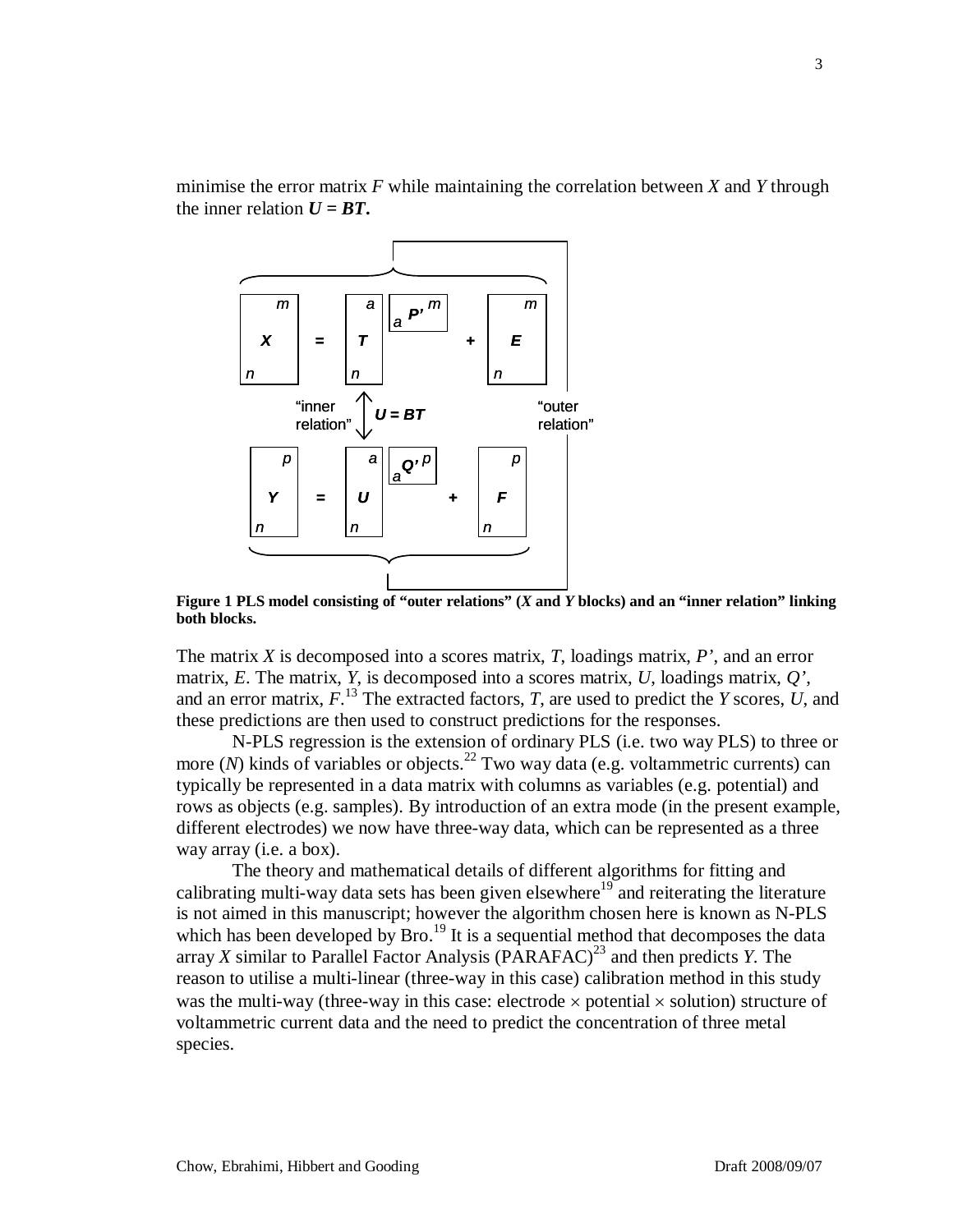

minimise the error matrix *F* while maintaining the correlation between *X* and *Y* through the inner relation  $U = BT$ .

**Figure 1 PLS model consisting of "outer relations" (***X* **and** *Y* **blocks) and an "inner relation" linking both blocks.**

The matrix *X* is decomposed into a scores matrix, *T*, loadings matrix, *P'*, and an error matrix, *E*. The matrix, *Y*, is decomposed into a scores matrix, *U*, loadings matrix, *Q'*, and an error matrix, *F*. <sup>13</sup> The extracted factors, *T*, are used to predict the *Y* scores, *U*, and these predictions are then used to construct predictions for the responses.

N-PLS regression is the extension of ordinary PLS (i.e. two way PLS) to three or more  $(N)$  kinds of variables or objects.<sup>22</sup> Two way data (e.g. voltammetric currents) can typically be represented in a data matrix with columns as variables (e.g. potential) and rows as objects (e.g. samples). By introduction of an extra mode (in the present example, different electrodes) we now have three-way data, which can be represented as a three way array (i.e. a box).

The theory and mathematical details of different algorithms for fitting and calibrating multi-way data sets has been given elsewhere<sup>19</sup> and reiterating the literature is not aimed in this manuscript; however the algorithm chosen here is known as N-PLS which has been developed by  $Bro.<sup>19</sup>$  It is a sequential method that decomposes the data array *X* similar to Parallel Factor Analysis  $(PARAFAC)^{23}$  and then predicts *Y*. The reason to utilise a multi-linear (three-way in this case) calibration method in this study was the multi-way (three-way in this case: electrode  $\times$  potential  $\times$  solution) structure of voltammetric current data and the need to predict the concentration of three metal species.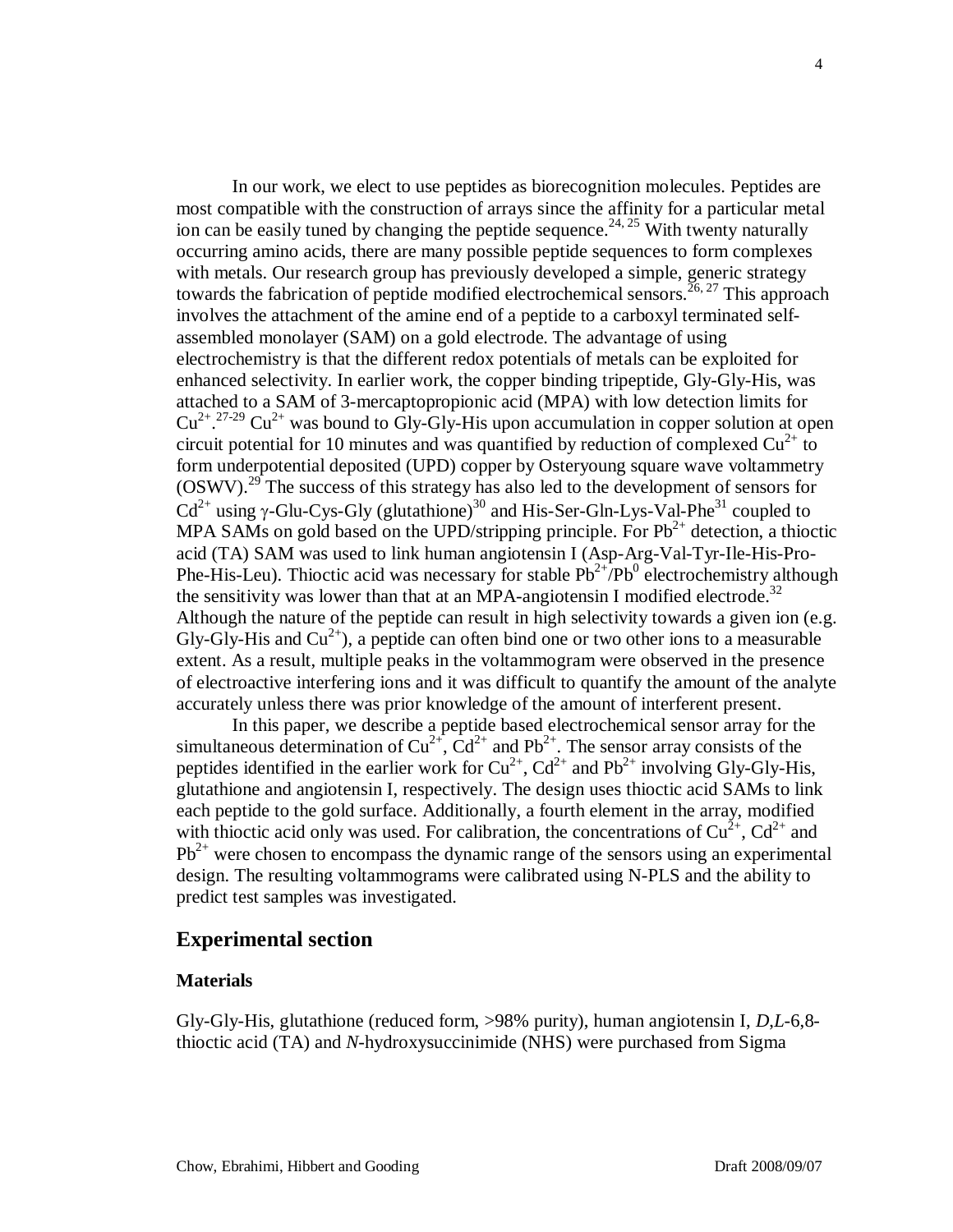In our work, we elect to use peptides as biorecognition molecules. Peptides are most compatible with the construction of arrays since the affinity for a particular metal ion can be easily tuned by changing the peptide sequence.<sup>24, 25</sup> With twenty naturally occurring amino acids, there are many possible peptide sequences to form complexes with metals. Our research group has previously developed a simple, generic strategy towards the fabrication of peptide modified electrochemical sensors.<sup>26, 27</sup> This approach involves the attachment of the amine end of a peptide to a carboxyl terminated selfassembled monolayer (SAM) on a gold electrode. The advantage of using electrochemistry is that the different redox potentials of metals can be exploited for enhanced selectivity. In earlier work, the copper binding tripeptide, Gly-Gly-His, was attached to a SAM of 3-mercaptopropionic acid (MPA) with low detection limits for  $Cu^{2+}$ .<sup>27-29</sup>  $Cu^{2+}$  was bound to Gly-Gly-His upon accumulation in copper solution at open circuit potential for 10 minutes and was quantified by reduction of complexed  $Cu^{2+}$  to form underpotential deposited (UPD) copper by Osteryoung square wave voltammetry  $(OSWV).<sup>29</sup>$  The success of this strategy has also led to the development of sensors for  $Cd^{2+}$  using γ-Glu-Cys-Gly (glutathione)<sup>30</sup> and His-Ser-Gln-Lys-Val-Phe<sup>31</sup> coupled to MPA SAMs on gold based on the UPD/stripping principle. For  $Pb^{2+}$  detection, a thioctic acid (TA) SAM was used to link human angiotensin I (Asp-Arg-Val-Tyr-Ile-His-Pro-Phe-His-Leu). Thioctic acid was necessary for stable  $Pb^{2+}/Pb^0$  electrochemistry although the sensitivity was lower than that at an MPA-angiotensin I modified electrode.<sup>32</sup> Although the nature of the peptide can result in high selectivity towards a given ion (e.g. Gly-Gly-His and  $Cu^{2+}$ ), a peptide can often bind one or two other ions to a measurable extent. As a result, multiple peaks in the voltammogram were observed in the presence of electroactive interfering ions and it was difficult to quantify the amount of the analyte accurately unless there was prior knowledge of the amount of interferent present.

In this paper, we describe a peptide based electrochemical sensor array for the simultaneous determination of  $Cu^{2+}$ ,  $Cd^{2+}$  and  $Pb^{2+}$ . The sensor array consists of the peptides identified in the earlier work for  $Cu^{2+}$ ,  $Cd^{2+}$  and  $Pb^{2+}$  involving Gly-Gly-His, glutathione and angiotensin I, respectively. The design uses thioctic acid SAMs to link each peptide to the gold surface. Additionally, a fourth element in the array, modified with thioctic acid only was used. For calibration, the concentrations of  $Cu^{2+}$ ,  $Cd^{2+}$  and  $Pb^{2+}$  were chosen to encompass the dynamic range of the sensors using an experimental design. The resulting voltammograms were calibrated using N-PLS and the ability to predict test samples was investigated.

### **Experimental section**

#### **Materials**

Gly-Gly-His, glutathione (reduced form, >98% purity), human angiotensin I, *D*,*L*-6,8 thioctic acid (TA) and *N*-hydroxysuccinimide (NHS) were purchased from Sigma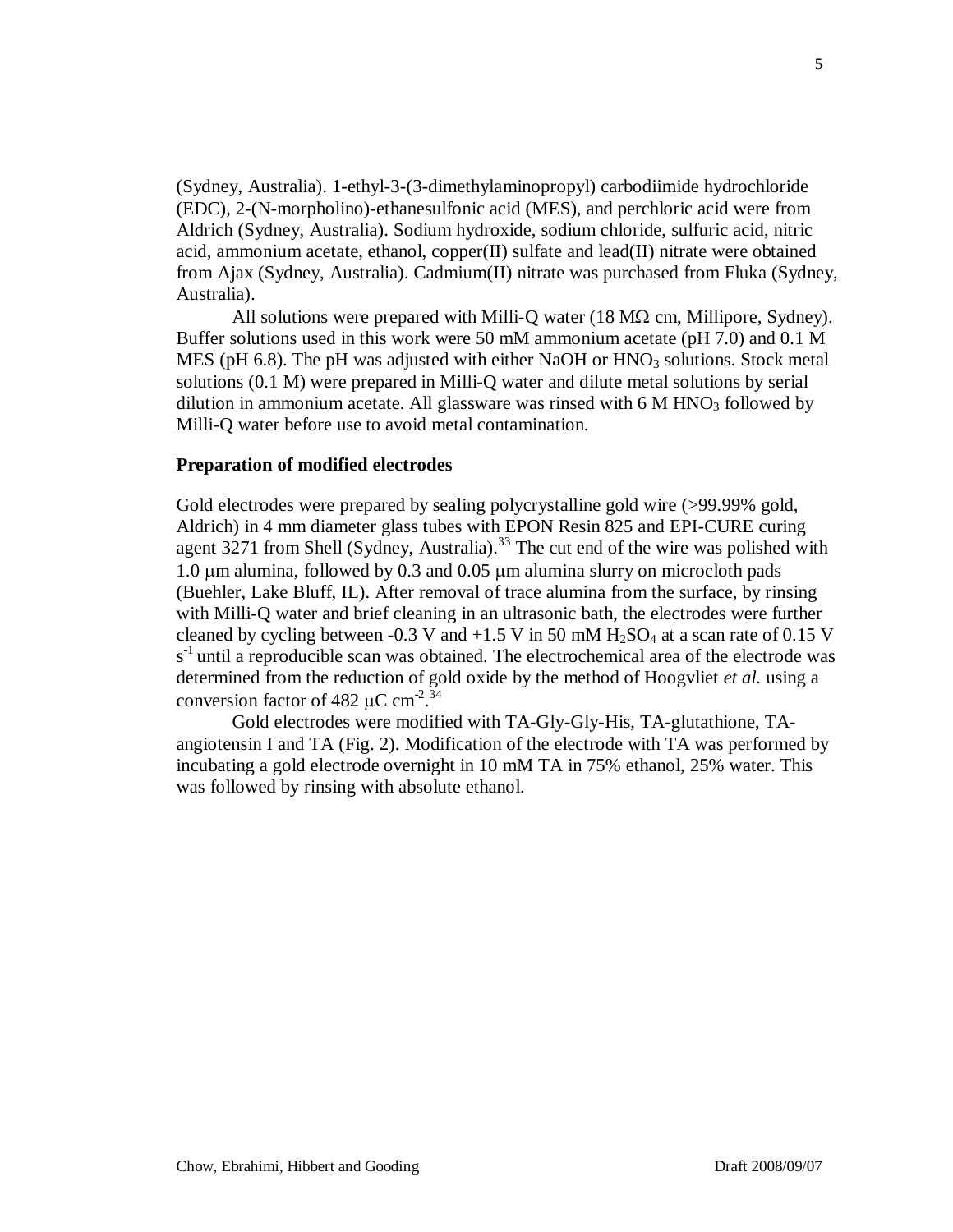(Sydney, Australia). 1-ethyl-3-(3-dimethylaminopropyl) carbodiimide hydrochloride (EDC), 2-(N-morpholino)-ethanesulfonic acid (MES), and perchloric acid were from Aldrich (Sydney, Australia). Sodium hydroxide, sodium chloride, sulfuric acid, nitric acid, ammonium acetate, ethanol, copper(II) sulfate and lead(II) nitrate were obtained from Ajax (Sydney, Australia). Cadmium(II) nitrate was purchased from Fluka (Sydney, Australia).

All solutions were prepared with Milli-Q water  $(18 \text{ M}\Omega \text{ cm}, \text{Millipore}, \text{Sydney})$ . Buffer solutions used in this work were 50 mM ammonium acetate (pH 7.0) and 0.1 M MES (pH 6.8). The pH was adjusted with either NaOH or  $HNO<sub>3</sub>$  solutions. Stock metal solutions (0.1 M) were prepared in Milli-Q water and dilute metal solutions by serial dilution in ammonium acetate. All glassware was rinsed with  $6 \text{ M HNO}_3$  followed by Milli-Q water before use to avoid metal contamination.

#### **Preparation of modified electrodes**

Gold electrodes were prepared by sealing polycrystalline gold wire (>99.99% gold, Aldrich) in 4 mm diameter glass tubes with EPON Resin 825 and EPI-CURE curing agent  $3271$  from Shell (Sydney, Australia).<sup>33</sup> The cut end of the wire was polished with 1.0 µm alumina, followed by 0.3 and 0.05 µm alumina slurry on microcloth pads (Buehler, Lake Bluff, IL). After removal of trace alumina from the surface, by rinsing with Milli-Q water and brief cleaning in an ultrasonic bath, the electrodes were further cleaned by cycling between -0.3 V and  $+1.5$  V in 50 mM  $H_2SO_4$  at a scan rate of 0.15 V s<sup>-1</sup> until a reproducible scan was obtained. The electrochemical area of the electrode was determined from the reduction of gold oxide by the method of Hoogvliet *et al.* using a conversion factor of 482  $\mu$ C cm<sup>-2</sup>.<sup>34</sup>

Gold electrodes were modified with TA-Gly-Gly-His, TA-glutathione, TAangiotensin I and TA (Fig. 2). Modification of the electrode with TA was performed by incubating a gold electrode overnight in 10 mM TA in 75% ethanol, 25% water. This was followed by rinsing with absolute ethanol.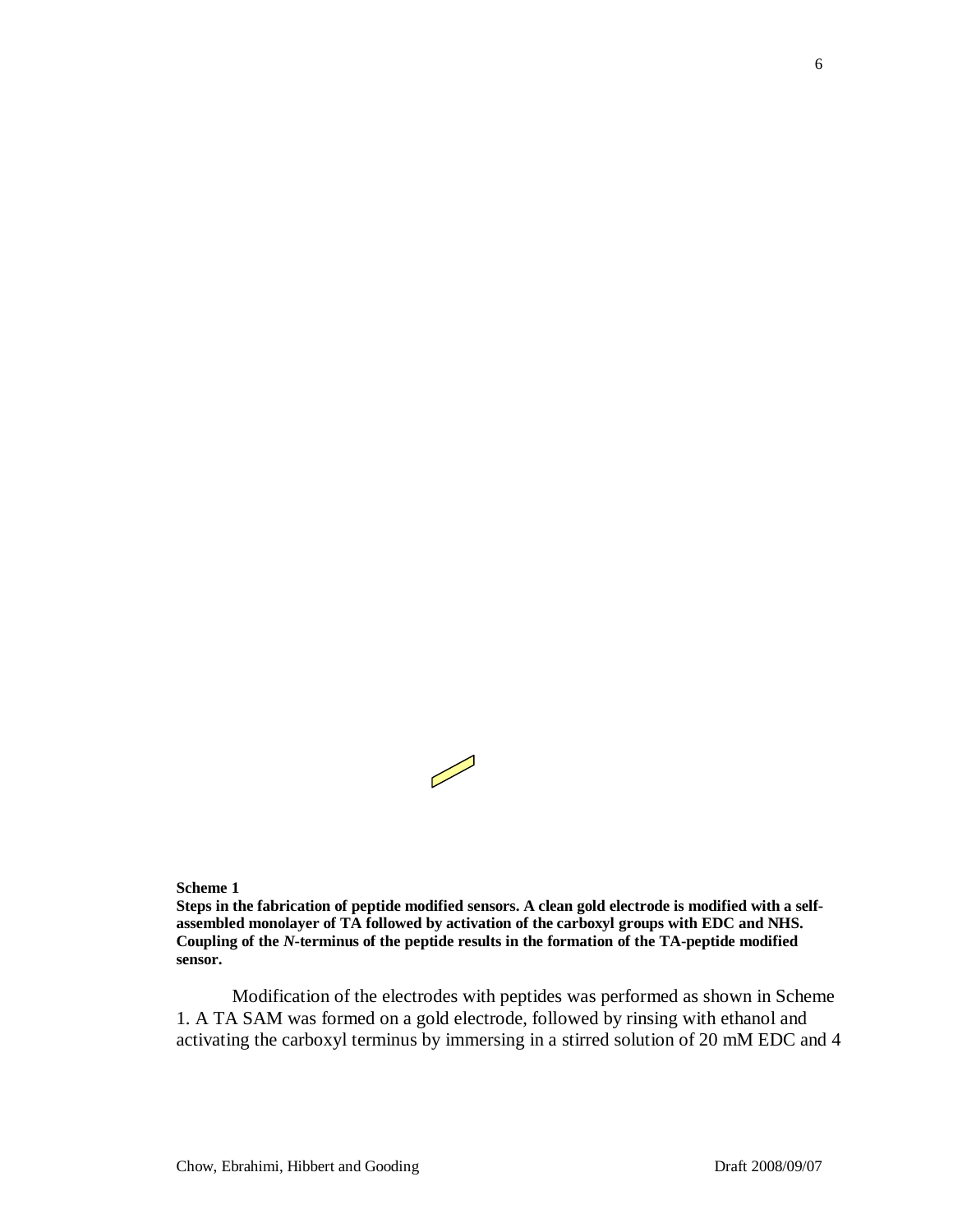

#### **Scheme 1**

**Steps in the fabrication of peptide modified sensors. A clean gold electrode is modified with a selfassembled monolayer of TA followed by activation of the carboxyl groups with EDC and NHS. Coupling of the** *N***-terminus of the peptide results in the formation of the TA-peptide modified sensor.**

Modification of the electrodes with peptides was performed as shown in Scheme 1. A TA SAM was formed on a gold electrode, followed by rinsing with ethanol and activating the carboxyl terminus by immersing in a stirred solution of 20 mM EDC and 4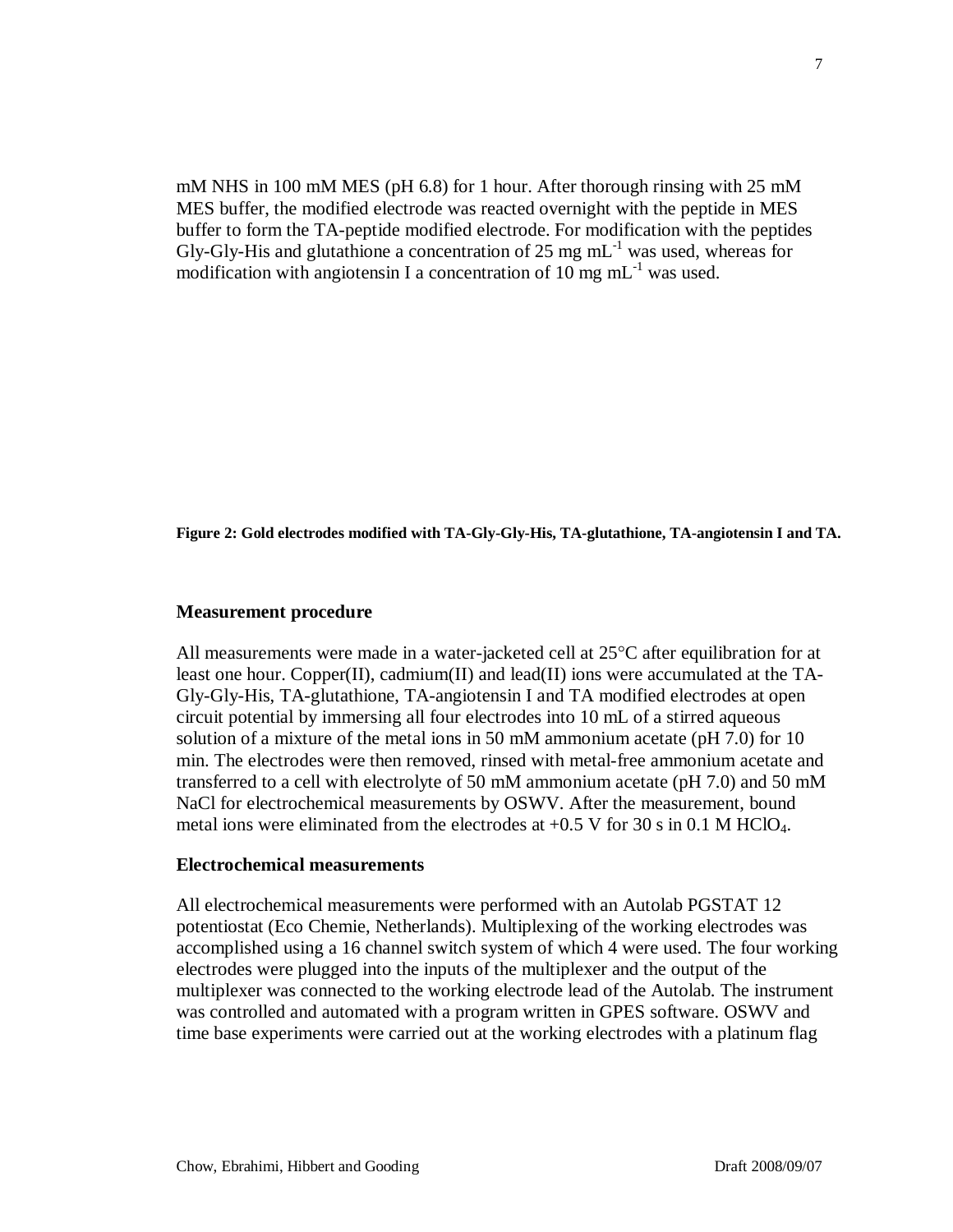mM NHS in 100 mM MES (pH 6.8) for 1 hour. After thorough rinsing with 25 mM MES buffer, the modified electrode was reacted overnight with the peptide in MES buffer to form the TA-peptide modified electrode. For modification with the peptides Gly-Gly-His and glutathione a concentration of 25 mg  $mL^{-1}$  was used, whereas for modification with angiotensin I a concentration of  $10 \text{ mg } \text{mL}^{-1}$  was used.

**Figure 2: Gold electrodes modified with TA-Gly-Gly-His, TA-glutathione, TA-angiotensin I and TA.**

#### **Measurement procedure**

All measurements were made in a water-jacketed cell at 25°C after equilibration for at least one hour. Copper(II), cadmium(II) and lead(II) ions were accumulated at the TA-Gly-Gly-His, TA-glutathione, TA-angiotensin I and TA modified electrodes at open circuit potential by immersing all four electrodes into 10 mL of a stirred aqueous solution of a mixture of the metal ions in 50 mM ammonium acetate (pH 7.0) for 10 min. The electrodes were then removed, rinsed with metal-free ammonium acetate and transferred to a cell with electrolyte of 50 mM ammonium acetate (pH 7.0) and 50 mM NaCl for electrochemical measurements by OSWV. After the measurement, bound metal ions were eliminated from the electrodes at  $+0.5$  V for 30 s in 0.1 M HClO<sub>4</sub>.

#### **Electrochemical measurements**

All electrochemical measurements were performed with an Autolab PGSTAT 12 potentiostat (Eco Chemie, Netherlands). Multiplexing of the working electrodes was accomplished using a 16 channel switch system of which 4 were used. The four working electrodes were plugged into the inputs of the multiplexer and the output of the multiplexer was connected to the working electrode lead of the Autolab. The instrument was controlled and automated with a program written in GPES software. OSWV and time base experiments were carried out at the working electrodes with a platinum flag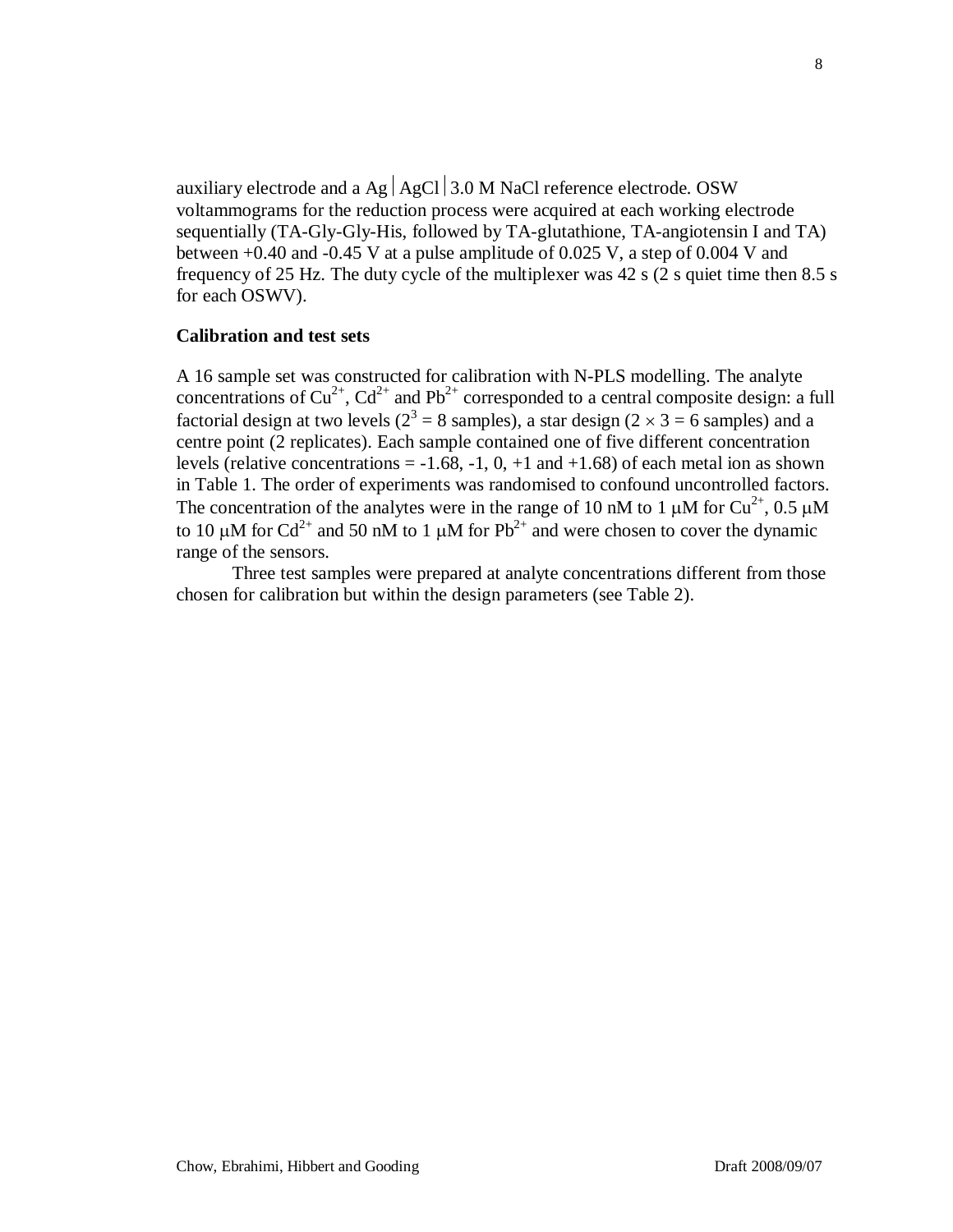auxiliary electrode and a Ag  $|$  AgCl  $|$  3.0 M NaCl reference electrode. OSW voltammograms for the reduction process were acquired at each working electrode sequentially (TA-Gly-Gly-His, followed by TA-glutathione, TA-angiotensin I and TA) between  $+0.40$  and  $-0.45$  V at a pulse amplitude of 0.025 V, a step of 0.004 V and frequency of 25 Hz. The duty cycle of the multiplexer was 42 s (2 s quiet time then 8.5 s for each OSWV).

#### **Calibration and test sets**

A 16 sample set was constructed for calibration with N-PLS modelling. The analyte concentrations of  $Cu^{2+}$ ,  $Cd^{2+}$  and  $Pb^{2+}$  corresponded to a central composite design: a full factorial design at two levels ( $2^3 = 8$  samples), a star design ( $2 \times 3 = 6$  samples) and a centre point (2 replicates). Each sample contained one of five different concentration levels (relative concentrations =  $-1.68$ ,  $-1$ , 0,  $+1$  and  $+1.68$ ) of each metal ion as shown in Table 1. The order of experiments was randomised to confound uncontrolled factors. The concentration of the analytes were in the range of 10 nM to 1  $\mu$ M for Cu<sup>2+</sup>, 0.5  $\mu$ M to 10  $\mu$ M for Cd<sup>2+</sup> and 50 nM to 1  $\mu$ M for Pb<sup>2+</sup> and were chosen to cover the dynamic range of the sensors.

Three test samples were prepared at analyte concentrations different from those chosen for calibration but within the design parameters (see Table 2).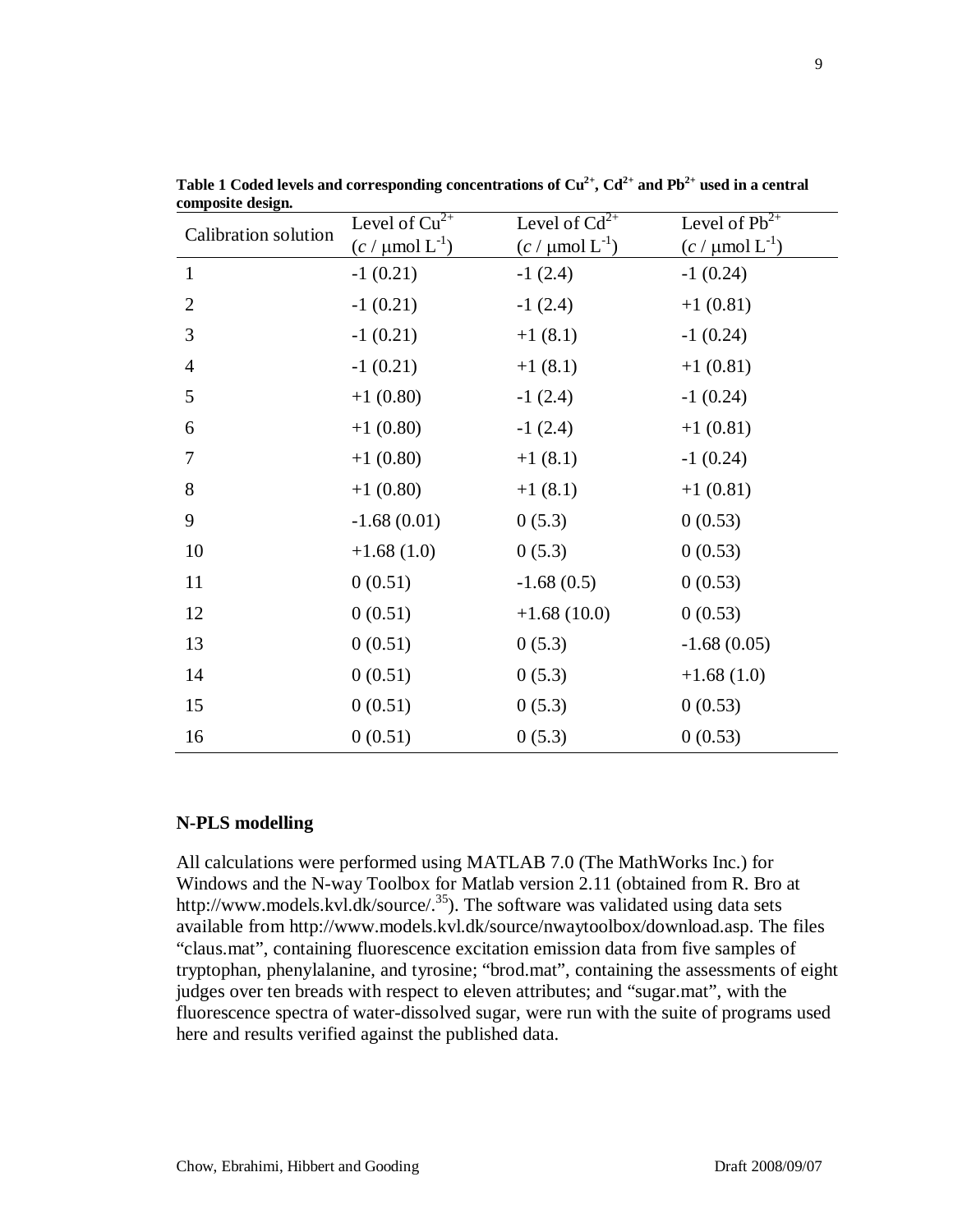| Calibration solution | Level of $\overline{\mathrm{Cu}^{2+}}$ | Level of $Cd^{2+}$            | Level of $\overline{Pb^{2+}}$ |
|----------------------|----------------------------------------|-------------------------------|-------------------------------|
|                      | $(c / \mu \text{mol } L^{-1})$         | $(c / \mu \text{mol} L^{-1})$ | $(c / \mu \text{mol} L^{-1})$ |
| $\mathbf{1}$         | $-1(0.21)$                             | $-1(2.4)$                     | $-1(0.24)$                    |
| $\overline{2}$       | $-1(0.21)$                             | $-1(2.4)$                     | $+1(0.81)$                    |
| 3                    | $-1(0.21)$                             | $+1(8.1)$                     | $-1(0.24)$                    |
| $\overline{4}$       | $-1(0.21)$                             | $+1(8.1)$                     | $+1(0.81)$                    |
| 5                    | $+1(0.80)$                             | $-1(2.4)$                     | $-1(0.24)$                    |
| 6                    | $+1(0.80)$                             | $-1(2.4)$                     | $+1(0.81)$                    |
| 7                    | $+1(0.80)$                             | $+1(8.1)$                     | $-1(0.24)$                    |
| 8                    | $+1(0.80)$                             | $+1(8.1)$                     | $+1(0.81)$                    |
| 9                    | $-1.68(0.01)$                          | 0(5.3)                        | 0(0.53)                       |
| 10                   | $+1.68(1.0)$                           | 0(5.3)                        | 0(0.53)                       |
| 11                   | 0(0.51)                                | $-1.68(0.5)$                  | 0(0.53)                       |
| 12                   | 0(0.51)                                | $+1.68(10.0)$                 | 0(0.53)                       |
| 13                   | 0(0.51)                                | 0(5.3)                        | $-1.68(0.05)$                 |
| 14                   | 0(0.51)                                | 0(5.3)                        | $+1.68(1.0)$                  |
| 15                   | 0(0.51)                                | 0(5.3)                        | 0(0.53)                       |
| 16                   | 0(0.51)                                | 0(5.3)                        | 0(0.53)                       |

**Table 1** Coded levels and corresponding concentrations of  $Cu^{2+}$ ,  $Cd^{2+}$  and  $Pb^{2+}$  used in a central **composite design.**

### **N-PLS modelling**

All calculations were performed using MATLAB 7.0 (The MathWorks Inc.) for Windows and the N-way Toolbox for Matlab version 2.11 (obtained from R. Bro at http://www.models.kvl.dk/source/.<sup>35</sup>). The software was validated using data sets available from http://www.models.kvl.dk/source/nwaytoolbox/download.asp. The files "claus.mat", containing fluorescence excitation emission data from five samples of tryptophan, phenylalanine, and tyrosine; "brod.mat", containing the assessments of eight judges over ten breads with respect to eleven attributes; and "sugar.mat", with the fluorescence spectra of water-dissolved sugar, were run with the suite of programs used here and results verified against the published data.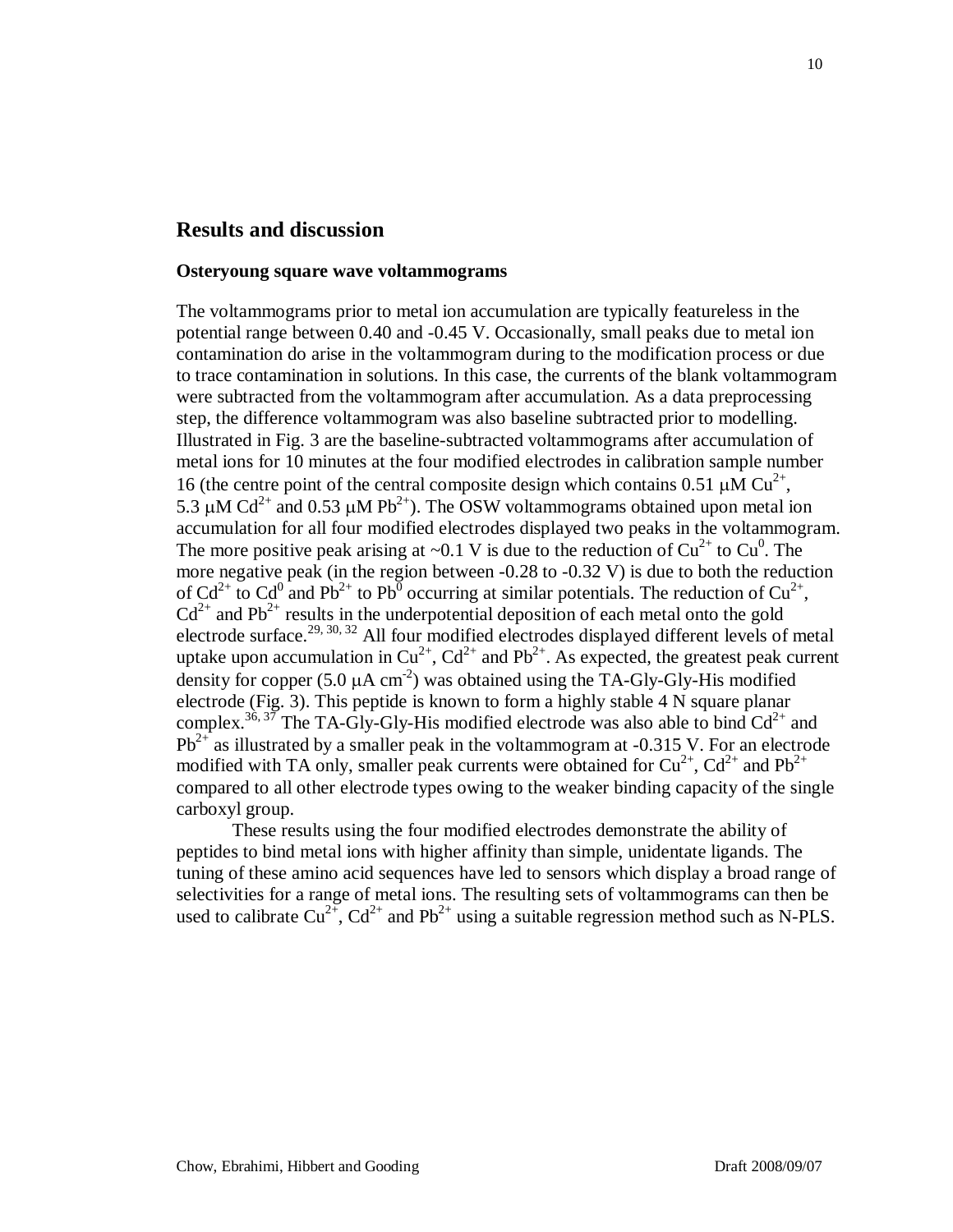## **Results and discussion**

#### **Osteryoung square wave voltammograms**

The voltammograms prior to metal ion accumulation are typically featureless in the potential range between 0.40 and -0.45 V. Occasionally, small peaks due to metal ion contamination do arise in the voltammogram during to the modification process or due to trace contamination in solutions. In this case, the currents of the blank voltammogram were subtracted from the voltammogram after accumulation. As a data preprocessing step, the difference voltammogram was also baseline subtracted prior to modelling. Illustrated in Fig. 3 are the baseline-subtracted voltammograms after accumulation of metal ions for 10 minutes at the four modified electrodes in calibration sample number 16 (the centre point of the central composite design which contains 0.51  $\mu$ M Cu<sup>2+</sup>, 5.3  $\mu$ M Cd<sup>2+</sup> and 0.53  $\mu$ M Pb<sup>2+</sup>). The OSW voltammograms obtained upon metal ion accumulation for all four modified electrodes displayed two peaks in the voltammogram. The more positive peak arising at  $\sim 0.1$  V is due to the reduction of Cu<sup>2+</sup> to Cu<sup>0</sup>. The more negative peak (in the region between -0.28 to -0.32 V) is due to both the reduction of Cd<sup>2+</sup> to Cd<sup>0</sup> and Pb<sup>2+</sup> to Pb<sup>0</sup> occurring at similar potentials. The reduction of Cu<sup>2+</sup>,  $Cd<sup>2+</sup>$  and Pb<sup>2+</sup> results in the underpotential deposition of each metal onto the gold electrode surface.<sup>29, 30, 32</sup> All four modified electrodes displayed different levels of metal uptake upon accumulation in  $Cu^{2+}$ ,  $Cd^{2+}$  and  $Pb^{2+}$ . As expected, the greatest peak current density for copper  $(5.0 \mu A \text{ cm}^{-2})$  was obtained using the TA-Gly-Gly-His modified electrode (Fig. 3). This peptide is known to form a highly stable 4 N square planar complex.<sup>36, 37</sup> The TA-Gly-Gly-His modified electrode was also able to bind  $Cd^{2+}$  and  $Pb^{2+}$  as illustrated by a smaller peak in the voltammogram at -0.315 V. For an electrode modified with TA only, smaller peak currents were obtained for  $Cu^{2+}$ ,  $Cd^{2+}$  and  $Pb^{2+}$ compared to all other electrode types owing to the weaker binding capacity of the single carboxyl group.

These results using the four modified electrodes demonstrate the ability of peptides to bind metal ions with higher affinity than simple, unidentate ligands. The tuning of these amino acid sequences have led to sensors which display a broad range of selectivities for a range of metal ions. The resulting sets of voltammograms can then be used to calibrate  $Cu^{2+}$ ,  $Cd^{2+}$  and  $Pb^{2+}$  using a suitable regression method such as N-PLS.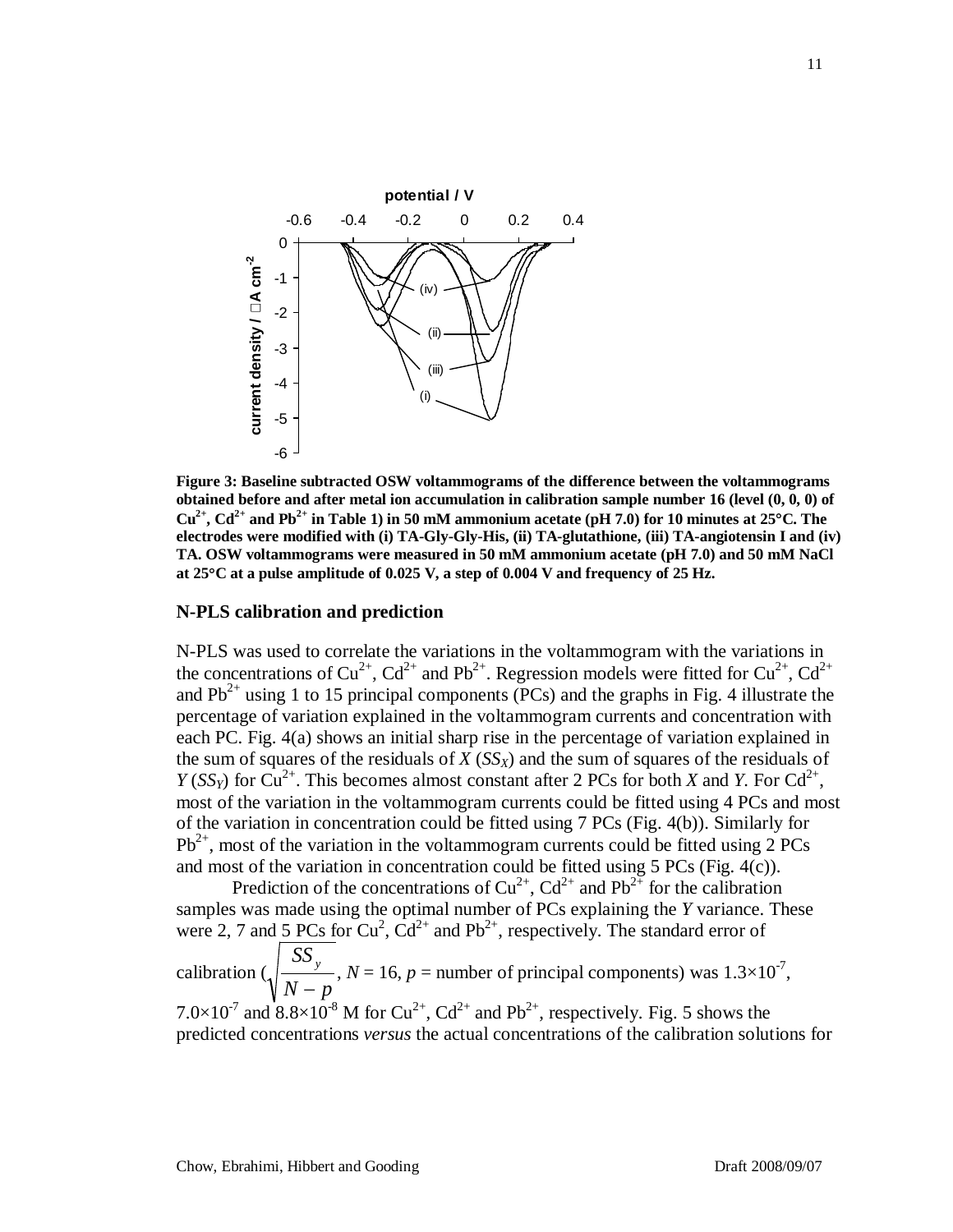

**Figure 3: Baseline subtracted OSW voltammograms of the difference between the voltammograms obtained before and after metal ion accumulation in calibration sample number 16 (level (0, 0, 0) of**   $Cu^{2+}$ ,  $Cd^{2+}$  and Pb<sup>2+</sup> in Table 1) in 50 mM ammonium acetate (pH 7.0) for 10 minutes at 25<sup>o</sup>C. The **electrodes were modified with (i) TA-Gly-Gly-His, (ii) TA-glutathione, (iii) TA-angiotensin I and (iv) TA. OSW voltammograms were measured in 50 mM ammonium acetate (pH 7.0) and 50 mM NaCl at 25**°**C at a pulse amplitude of 0.025 V, a step of 0.004 V and frequency of 25 Hz.**

#### **N-PLS calibration and prediction**

N-PLS was used to correlate the variations in the voltammogram with the variations in the concentrations of  $Cu^{2+}$ ,  $Cd^{2+}$  and Pb<sup>2+</sup>. Regression models were fitted for  $Cu^{2+}$ ,  $Cd^{2+}$ and  $Pb^{2+}$  using 1 to 15 principal components (PCs) and the graphs in Fig. 4 illustrate the percentage of variation explained in the voltammogram currents and concentration with each PC. Fig. 4(a) shows an initial sharp rise in the percentage of variation explained in the sum of squares of the residuals of  $X(S_{X})$  and the sum of squares of the residuals of *Y* (*SS<sub>Y</sub>*) for  $Cu^{2+}$ . This becomes almost constant after 2 PCs for both *X* and *Y*. For  $Cd^{2+}$ , most of the variation in the voltammogram currents could be fitted using 4 PCs and most of the variation in concentration could be fitted using 7 PCs (Fig. 4(b)). Similarly for  $Pb^{2+}$ , most of the variation in the voltammogram currents could be fitted using 2 PCs and most of the variation in concentration could be fitted using 5 PCs (Fig. 4(c)).

Prediction of the concentrations of  $Cu^{2+}$ ,  $Cd^{2+}$  and  $Pb^{2+}$  for the calibration samples was made using the optimal number of PCs explaining the *Y* variance. These were 2, 7 and 5 PCs for  $Cu^2$ ,  $Cd^{2+}$  and Pb<sup>2+</sup>, respectively. The standard error of

calibration  $\left(\sqrt{\frac{26y}{n}}\right)$ ,  $N = 16$ ,  $p =$  number of principal components) was  $1.3 \times 10^{-7}$ , 7.0×10<sup>-7</sup> and 8.8×10<sup>-8</sup> M for Cu<sup>2+</sup>, Cd<sup>2+</sup> and Pb<sup>2+</sup>, respectively. Fig. 5 shows the predicted concentrations *versus* the actual concentrations of the calibration solutions for  $N-p$ *SS <sup>y</sup>* −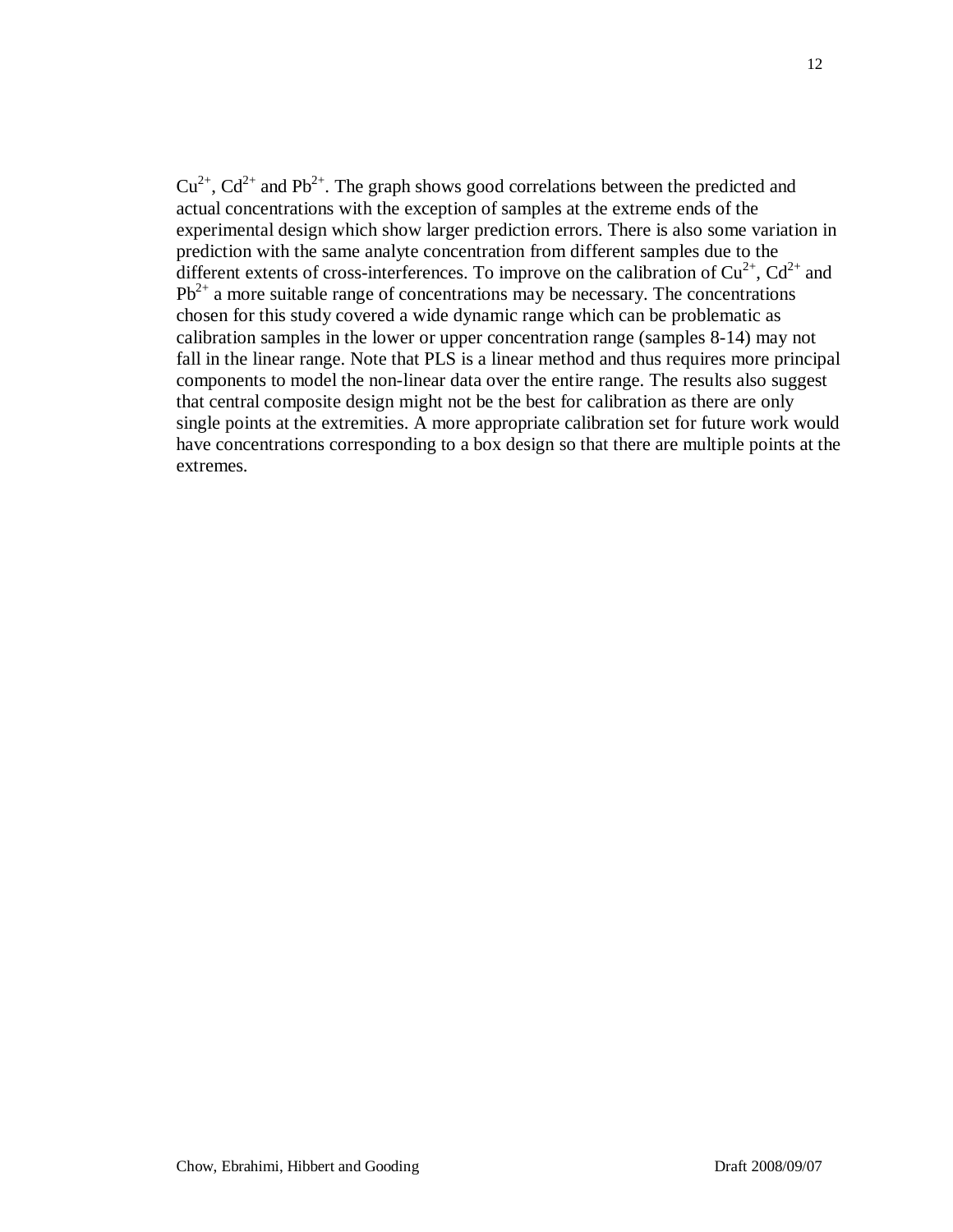$Cu^{2+}$ ,  $Cd^{2+}$  and Pb<sup>2+</sup>. The graph shows good correlations between the predicted and actual concentrations with the exception of samples at the extreme ends of the experimental design which show larger prediction errors. There is also some variation in prediction with the same analyte concentration from different samples due to the different extents of cross-interferences. To improve on the calibration of  $Cu^{2+}$ ,  $Cd^{2+}$  and  $Pb^{2+}$  a more suitable range of concentrations may be necessary. The concentrations chosen for this study covered a wide dynamic range which can be problematic as calibration samples in the lower or upper concentration range (samples 8-14) may not fall in the linear range. Note that PLS is a linear method and thus requires more principal components to model the non-linear data over the entire range. The results also suggest that central composite design might not be the best for calibration as there are only single points at the extremities. A more appropriate calibration set for future work would have concentrations corresponding to a box design so that there are multiple points at the extremes.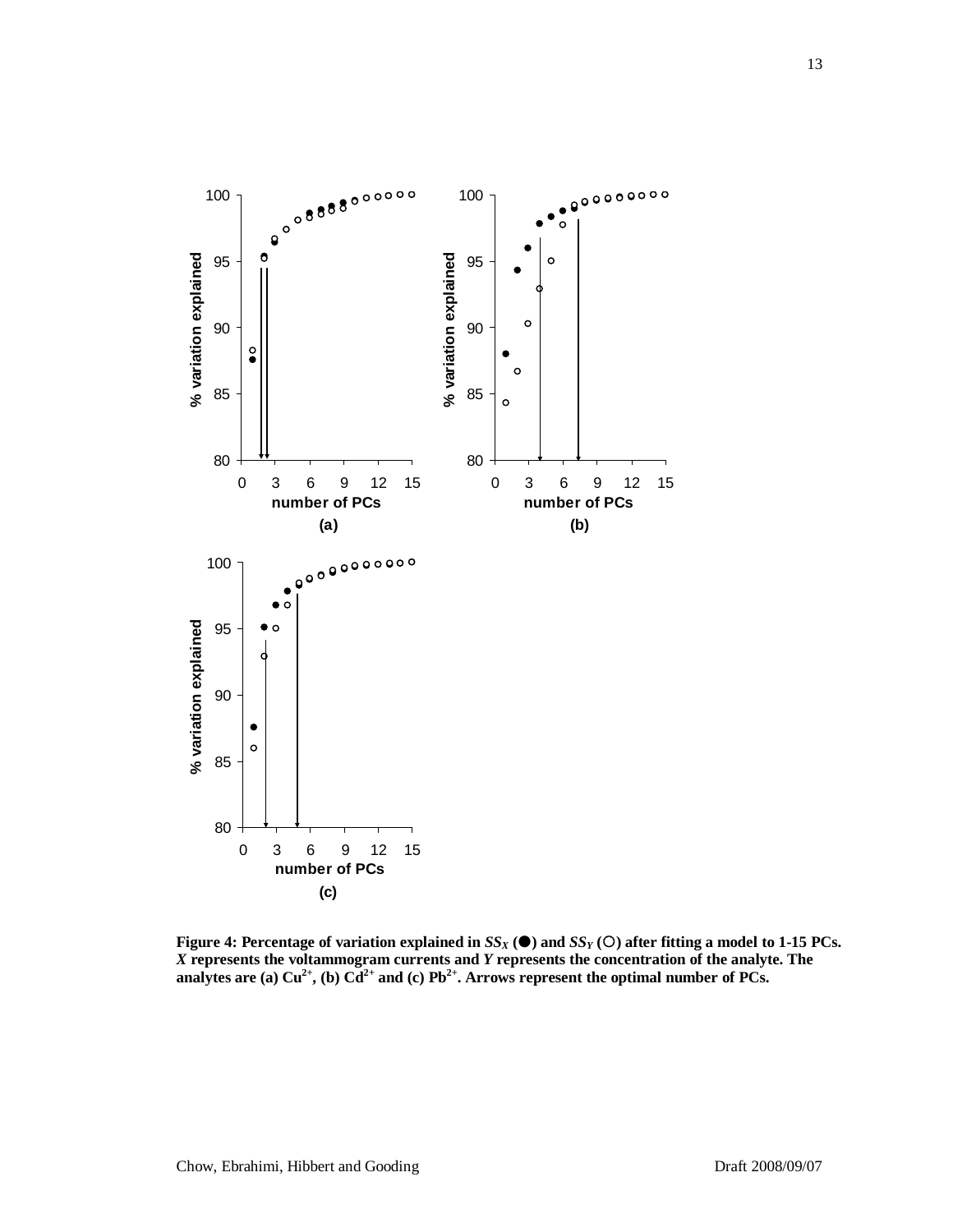

**Figure 4: Percentage of variation explained in**  $SS_X$  **(** $\bullet$ **) and**  $SS_Y$  **(** $\circ$ **) after fitting a model to 1-15 PCs.** *X* **represents the voltammogram currents and** *Y* **represents the concentration of the analyte. The**  analytes are (a)  $Cu^{2+}$ , (b)  $Cd^{2+}$  and (c)  $Pb^{2+}$ . Arrows represent the optimal number of PCs.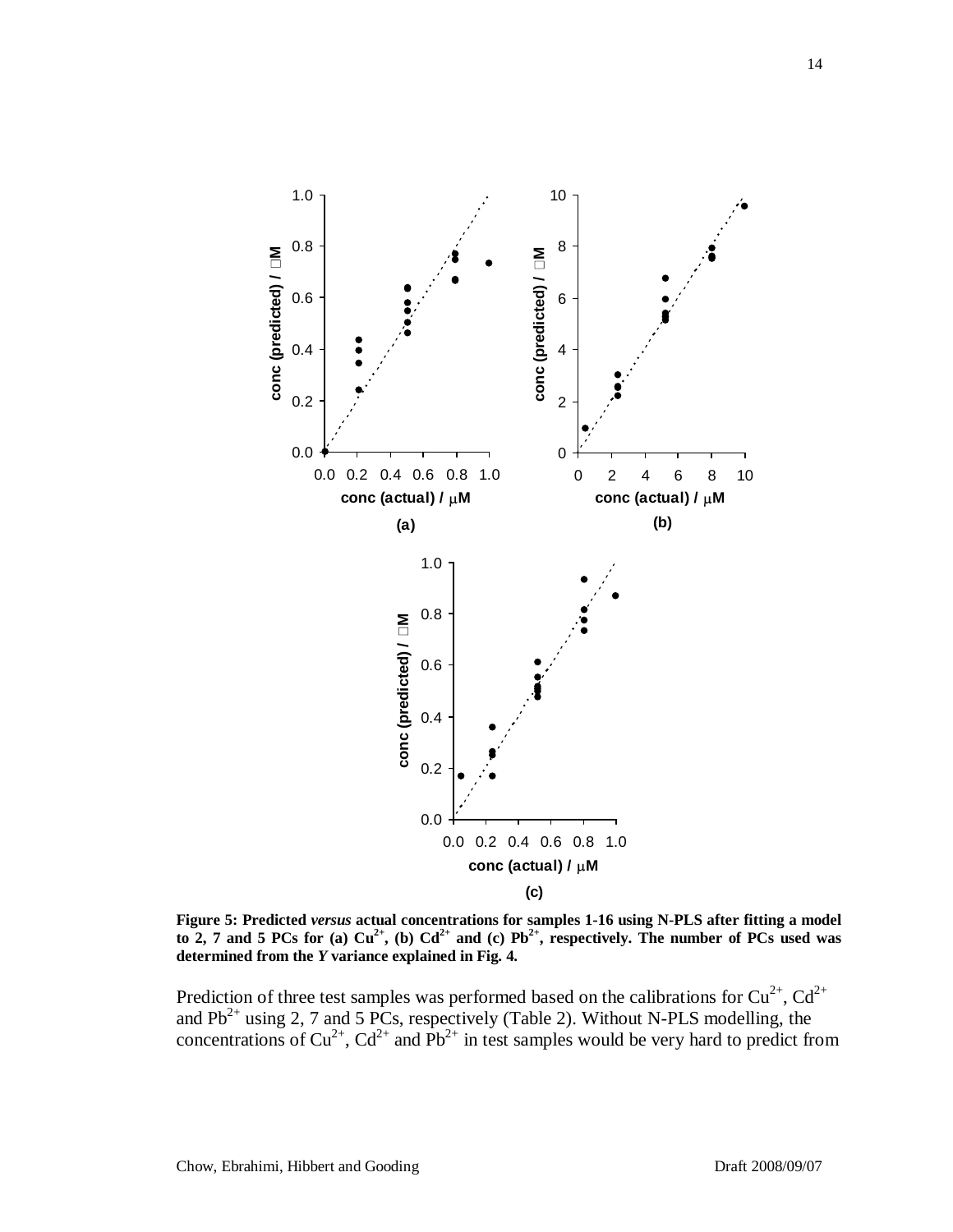

**Figure 5: Predicted** *versus* **actual concentrations for samples 1-16 using N-PLS after fitting a model**  to 2, 7 and 5 PCs for (a)  $Cu^{2+}$ , (b)  $Cd^{2+}$  and (c)  $Pb^{2+}$ , respectively. The number of PCs used was **determined from the** *Y* **variance explained in Fig. 4.**

Prediction of three test samples was performed based on the calibrations for  $Cu^{2+}$ ,  $Cd^{2+}$ and  $Pb^{2+}$  using 2, 7 and 5 PCs, respectively (Table 2). Without N-PLS modelling, the concentrations of  $Cu^{2+}$ ,  $Cd^{2+}$  and  $Pb^{2+}$  in test samples would be very hard to predict from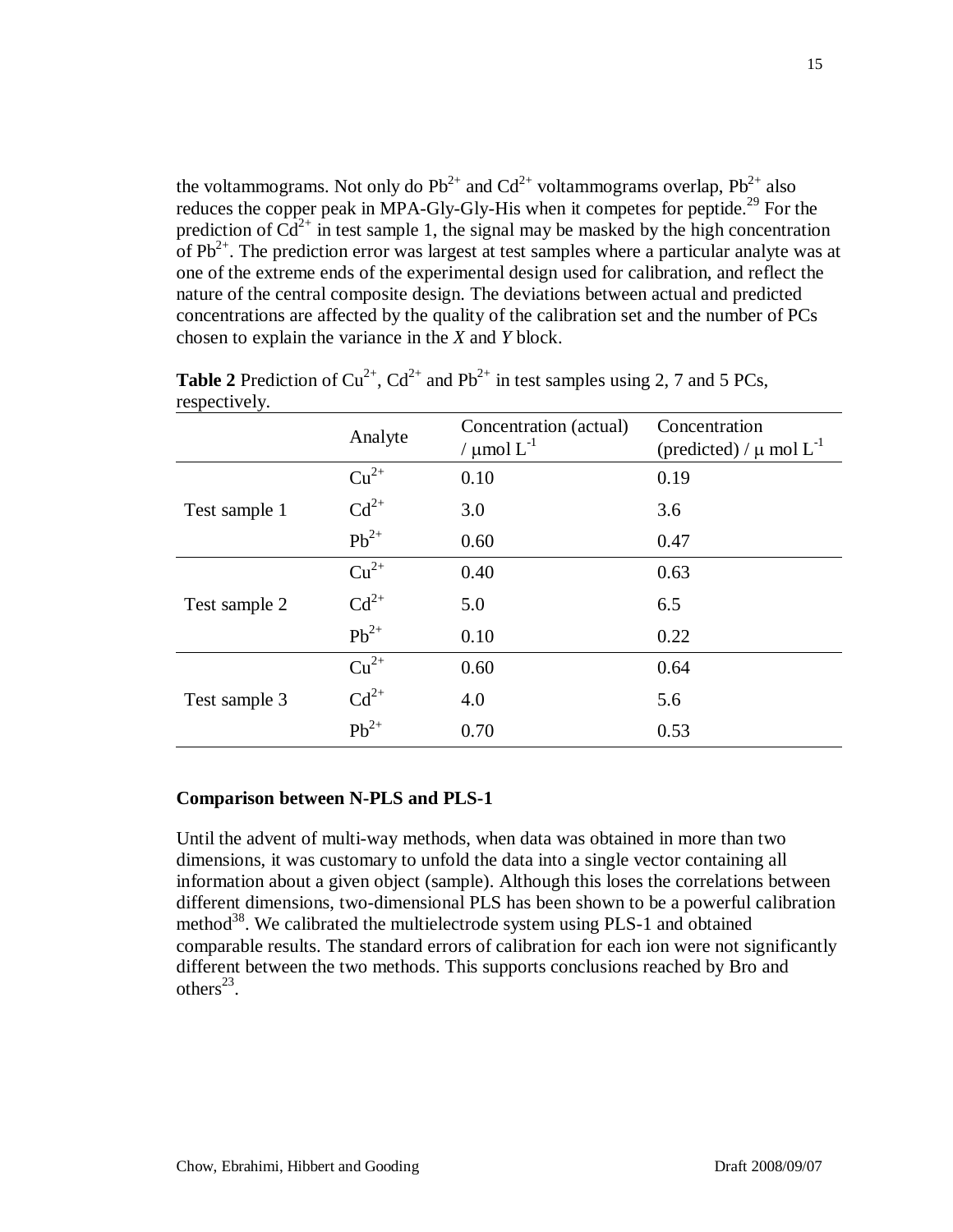the voltammograms. Not only do  $Pb^{2+}$  and  $Cd^{2+}$  voltammograms overlap,  $Pb^{2+}$  also reduces the copper peak in MPA-Gly-Gly-His when it competes for peptide.<sup>29</sup> For the prediction of  $\tilde{C}d^{2+}$  in test sample 1, the signal may be masked by the high concentration of  $Pb^{2+}$ . The prediction error was largest at test samples where a particular analyte was at one of the extreme ends of the experimental design used for calibration, and reflect the nature of the central composite design. The deviations between actual and predicted concentrations are affected by the quality of the calibration set and the number of PCs chosen to explain the variance in the *X* and *Y* block.

|               | Analyte   | Concentration (actual)<br>/ $\mu$ mol $L^{-1}$ | Concentration<br>(predicted) / $\mu$ mol $L^{-1}$ |
|---------------|-----------|------------------------------------------------|---------------------------------------------------|
| Test sample 1 | $Cu^{2+}$ | 0.10                                           | 0.19                                              |
|               | $Cd^{2+}$ | 3.0                                            | 3.6                                               |
|               | $Pb^{2+}$ | 0.60                                           | 0.47                                              |
| Test sample 2 | $Cu2+$    | 0.40                                           | 0.63                                              |
|               | $Cd^{2+}$ | 5.0                                            | 6.5                                               |
|               | $Pb^{2+}$ | 0.10                                           | 0.22                                              |
| Test sample 3 | $Cu^{2+}$ | 0.60                                           | 0.64                                              |
|               | $Cd^{2+}$ | 4.0                                            | 5.6                                               |
|               | $Pb^{2+}$ | 0.70                                           | 0.53                                              |

**Table 2** Prediction of  $Cu^{2+}$ ,  $Cd^{2+}$  and  $Pb^{2+}$  in test samples using 2, 7 and 5 PCs, respectively.

## **Comparison between N-PLS and PLS-1**

Until the advent of multi-way methods, when data was obtained in more than two dimensions, it was customary to unfold the data into a single vector containing all information about a given object (sample). Although this loses the correlations between different dimensions, two-dimensional PLS has been shown to be a powerful calibration method<sup>38</sup>. We calibrated the multielectrode system using PLS-1 and obtained comparable results. The standard errors of calibration for each ion were not significantly different between the two methods. This supports conclusions reached by Bro and others $^{23}$ .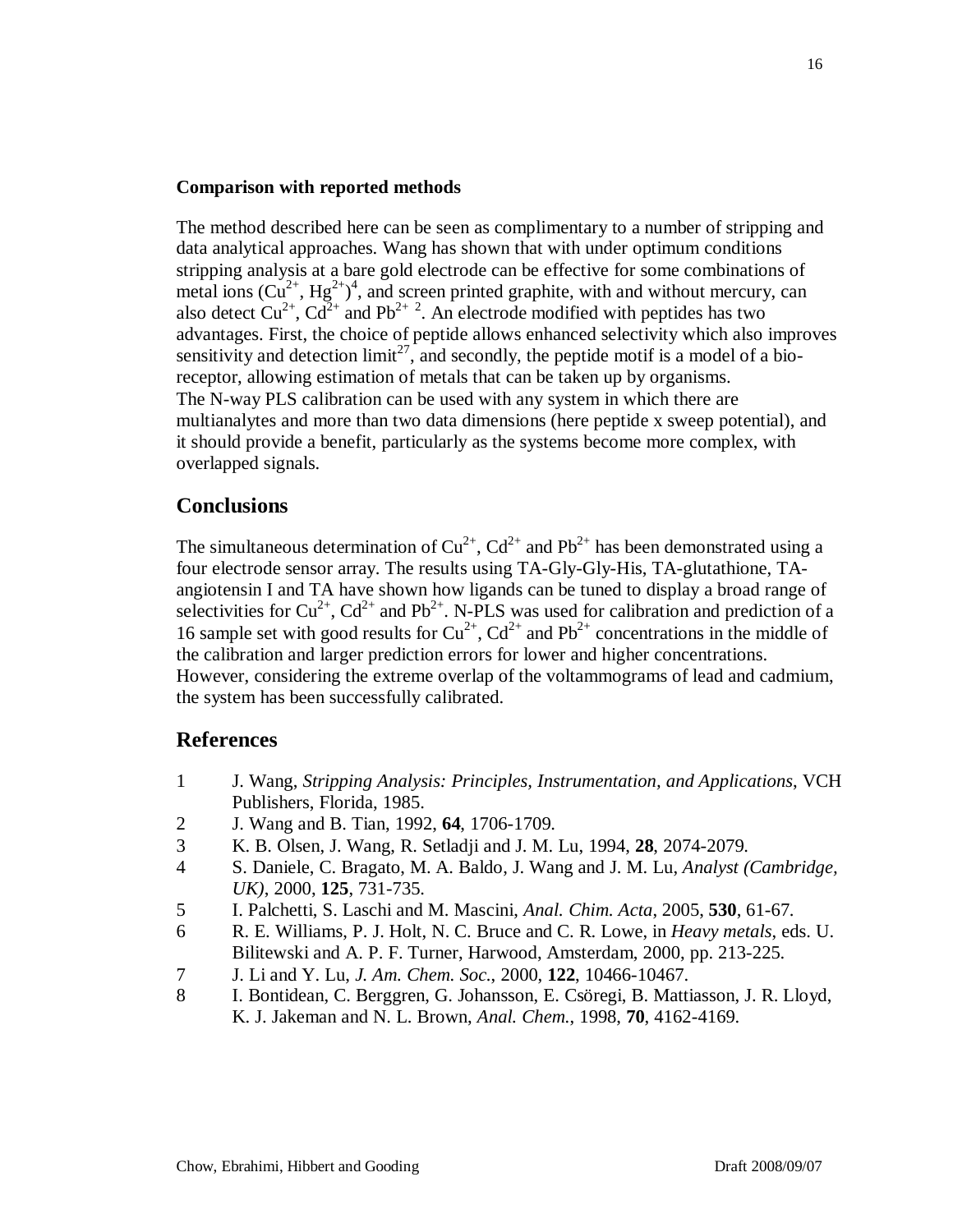#### **Comparison with reported methods**

The method described here can be seen as complimentary to a number of stripping and data analytical approaches. Wang has shown that with under optimum conditions stripping analysis at a bare gold electrode can be effective for some combinations of metal ions  $(Cu^{2+}, Hg^{2+})^4$ , and screen printed graphite, with and without mercury, can also detect  $Cu^{2+}$ ,  $Cd^{2+}$  and Pb<sup>2+2</sup>. An electrode modified with peptides has two advantages. First, the choice of peptide allows enhanced selectivity which also improves sensitivity and detection  $\lim_{t \to \infty} t^{27}$ , and secondly, the peptide motif is a model of a bioreceptor, allowing estimation of metals that can be taken up by organisms. The N-way PLS calibration can be used with any system in which there are multianalytes and more than two data dimensions (here peptide x sweep potential), and it should provide a benefit, particularly as the systems become more complex, with overlapped signals.

### **Conclusions**

The simultaneous determination of  $Cu^{2+}$ ,  $Cd^{2+}$  and  $Pb^{2+}$  has been demonstrated using a four electrode sensor array. The results using TA-Gly-Gly-His, TA-glutathione, TAangiotensin I and TA have shown how ligands can be tuned to display a broad range of selectivities for  $Cu^{2+}$ ,  $Cd^{2+}$  and  $Pb^{2+}$ . N-PLS was used for calibration and prediction of a 16 sample set with good results for  $Cu^{2+}$ ,  $Cd^{2+}$  and  $Pb^{2+}$  concentrations in the middle of the calibration and larger prediction errors for lower and higher concentrations. However, considering the extreme overlap of the voltammograms of lead and cadmium, the system has been successfully calibrated.

### **References**

- 1 J. Wang, *Stripping Analysis: Principles, Instrumentation, and Applications*, VCH Publishers, Florida, 1985.
- 2 J. Wang and B. Tian, 1992, **64**, 1706-1709.
- 3 K. B. Olsen, J. Wang, R. Setladji and J. M. Lu, 1994, **28**, 2074-2079.
- 4 S. Daniele, C. Bragato, M. A. Baldo, J. Wang and J. M. Lu, *Analyst (Cambridge, UK)*, 2000, **125**, 731-735.
- 5 I. Palchetti, S. Laschi and M. Mascini, *Anal. Chim. Acta*, 2005, **530**, 61-67.
- 6 R. E. Williams, P. J. Holt, N. C. Bruce and C. R. Lowe, in *Heavy metals*, eds. U. Bilitewski and A. P. F. Turner, Harwood, Amsterdam, 2000, pp. 213-225.
- 7 J. Li and Y. Lu, *J. Am. Chem. Soc.*, 2000, **122**, 10466-10467.
- 8 I. Bontidean, C. Berggren, G. Johansson, E. Csöregi, B. Mattiasson, J. R. Lloyd, K. J. Jakeman and N. L. Brown, *Anal. Chem.*, 1998, **70**, 4162-4169.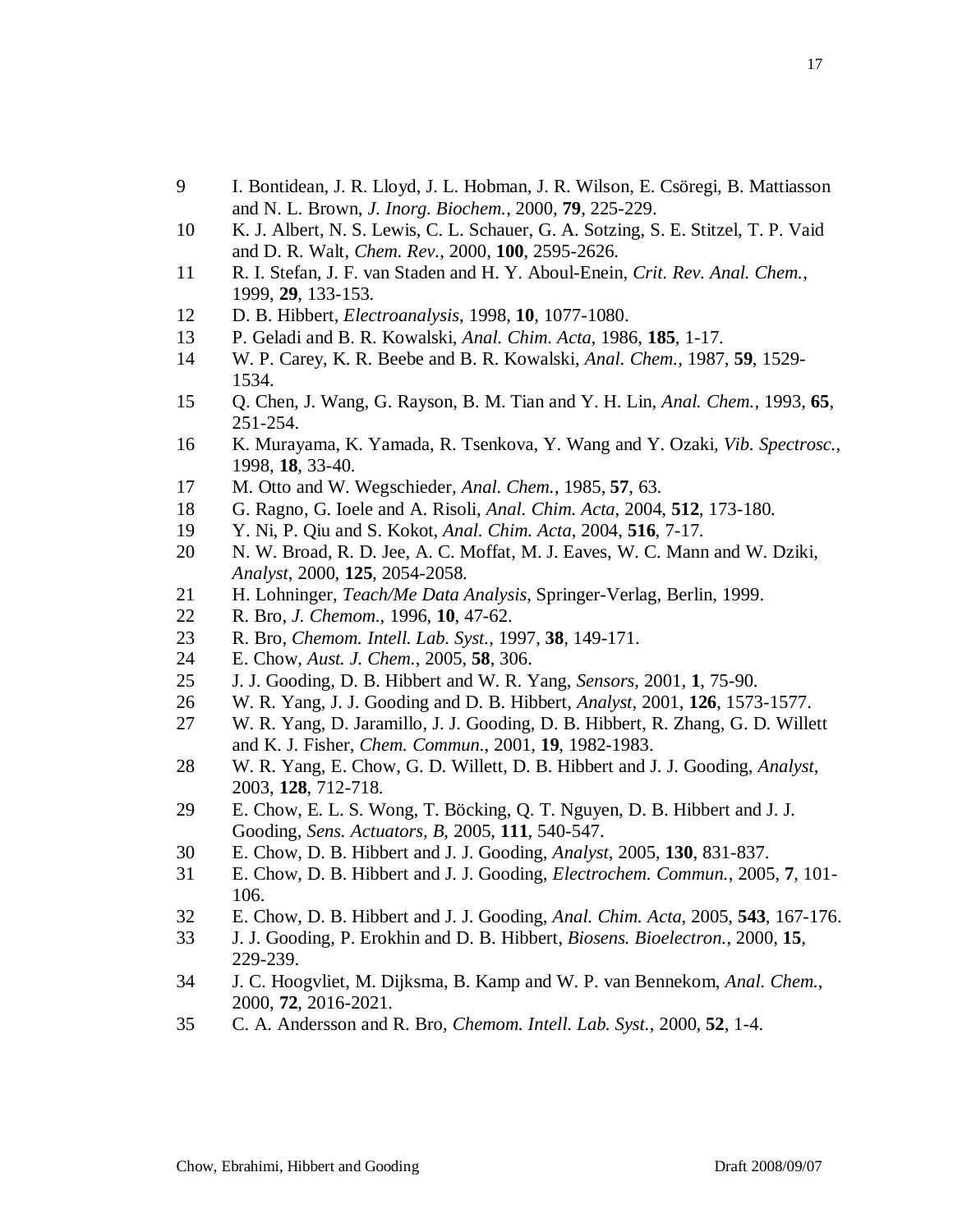- I. Bontidean, J. R. Lloyd, J. L. Hobman, J. R. Wilson, E. Csöregi, B. Mattiasson and N. L. Brown, *J. Inorg. Biochem.*, 2000, **79**, 225-229.
- K. J. Albert, N. S. Lewis, C. L. Schauer, G. A. Sotzing, S. E. Stitzel, T. P. Vaid and D. R. Walt, *Chem. Rev.*, 2000, **100**, 2595-2626.
- R. I. Stefan, J. F. van Staden and H. Y. Aboul-Enein, *Crit. Rev. Anal. Chem.*, 1999, **29**, 133-153.
- D. B. Hibbert, *Electroanalysis*, 1998, **10**, 1077-1080.
- P. Geladi and B. R. Kowalski, *Anal. Chim. Acta*, 1986, **185**, 1-17.
- W. P. Carey, K. R. Beebe and B. R. Kowalski, *Anal. Chem.*, 1987, **59**, 1529- 1534.
- Q. Chen, J. Wang, G. Rayson, B. M. Tian and Y. H. Lin, *Anal. Chem.*, 1993, **65**, 251-254.
- K. Murayama, K. Yamada, R. Tsenkova, Y. Wang and Y. Ozaki, *Vib. Spectrosc.*, 1998, **18**, 33-40.
- M. Otto and W. Wegschieder, *Anal. Chem.*, 1985, **57**, 63.
- G. Ragno, G. Ioele and A. Risoli, *Anal. Chim. Acta*, 2004, **512**, 173-180.
- Y. Ni, P. Qiu and S. Kokot, *Anal. Chim. Acta*, 2004, **516**, 7-17.
- N. W. Broad, R. D. Jee, A. C. Moffat, M. J. Eaves, W. C. Mann and W. Dziki, *Analyst*, 2000, **125**, 2054-2058.
- H. Lohninger, *Teach/Me Data Analysis*, Springer-Verlag, Berlin, 1999.
- R. Bro, *J. Chemom.*, 1996, **10**, 47-62.
- R. Bro, *Chemom. Intell. Lab. Syst.*, 1997, **38**, 149-171.
- E. Chow, *Aust. J. Chem.*, 2005, **58**, 306.
- J. J. Gooding, D. B. Hibbert and W. R. Yang, *Sensors*, 2001, **1**, 75-90.
- W. R. Yang, J. J. Gooding and D. B. Hibbert, *Analyst*, 2001, **126**, 1573-1577.
- W. R. Yang, D. Jaramillo, J. J. Gooding, D. B. Hibbert, R. Zhang, G. D. Willett and K. J. Fisher, *Chem. Commun.*, 2001, **19**, 1982-1983.
- W. R. Yang, E. Chow, G. D. Willett, D. B. Hibbert and J. J. Gooding, *Analyst*, 2003, **128**, 712-718.
- E. Chow, E. L. S. Wong, T. Böcking, Q. T. Nguyen, D. B. Hibbert and J. J. Gooding, *Sens. Actuators, B*, 2005, **111**, 540-547.
- E. Chow, D. B. Hibbert and J. J. Gooding, *Analyst*, 2005, **130**, 831-837.
- E. Chow, D. B. Hibbert and J. J. Gooding, *Electrochem. Commun.*, 2005, **7**, 101- 106.
- E. Chow, D. B. Hibbert and J. J. Gooding, *Anal. Chim. Acta*, 2005, **543**, 167-176.
- J. J. Gooding, P. Erokhin and D. B. Hibbert, *Biosens. Bioelectron.*, 2000, **15**, 229-239.
- J. C. Hoogvliet, M. Dijksma, B. Kamp and W. P. van Bennekom, *Anal. Chem.*, 2000, **72**, 2016-2021.
- C. A. Andersson and R. Bro, *Chemom. Intell. Lab. Syst.*, 2000, **52**, 1-4.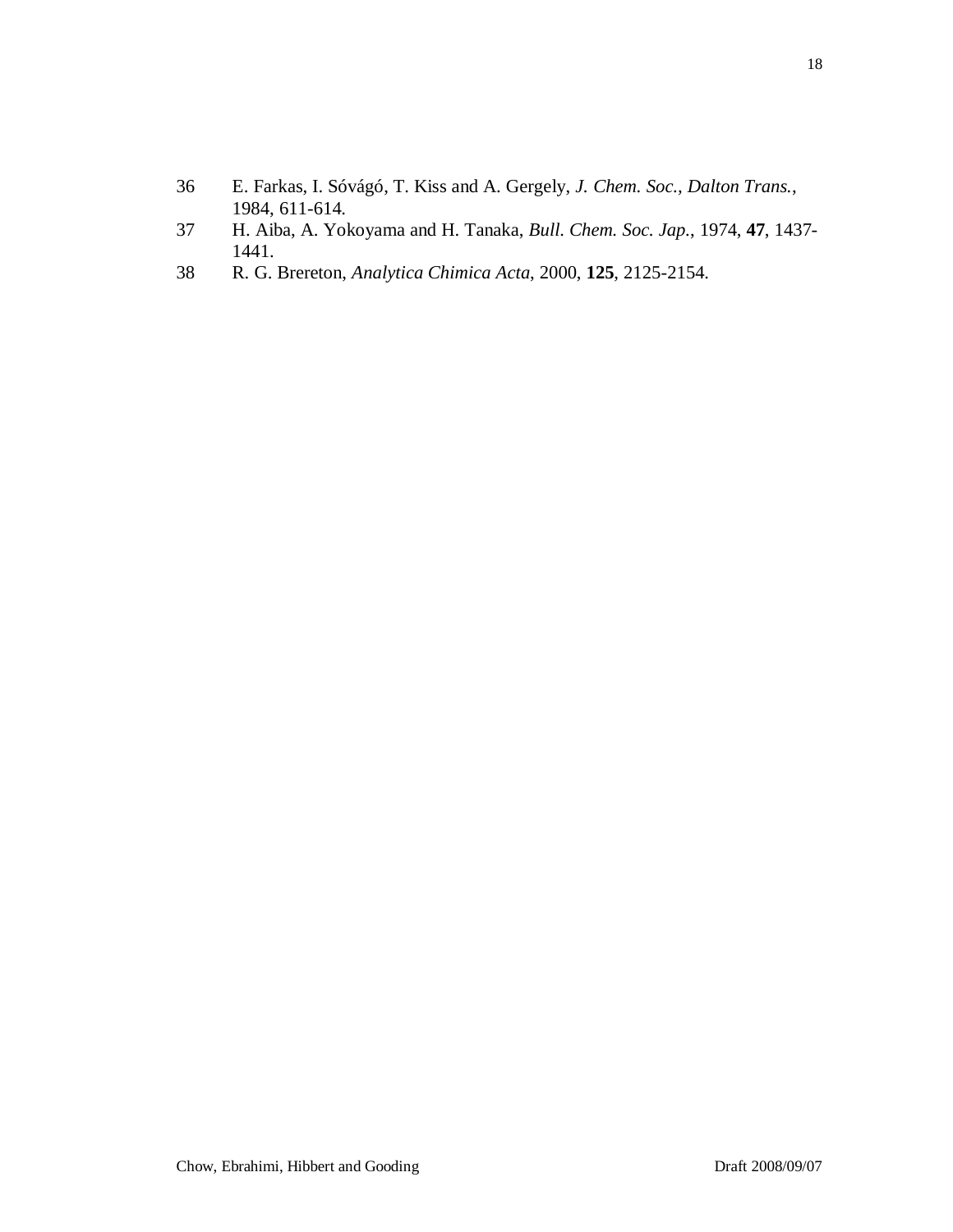- 36 E. Farkas, I. Sóvágó, T. Kiss and A. Gergely, *J. Chem. Soc., Dalton Trans.*, 1984, 611-614.
- 37 H. Aiba, A. Yokoyama and H. Tanaka, *Bull. Chem. Soc. Jap.*, 1974, **47**, 1437- 1441.
- 38 R. G. Brereton, *Analytica Chimica Acta*, 2000, **125**, 2125-2154.